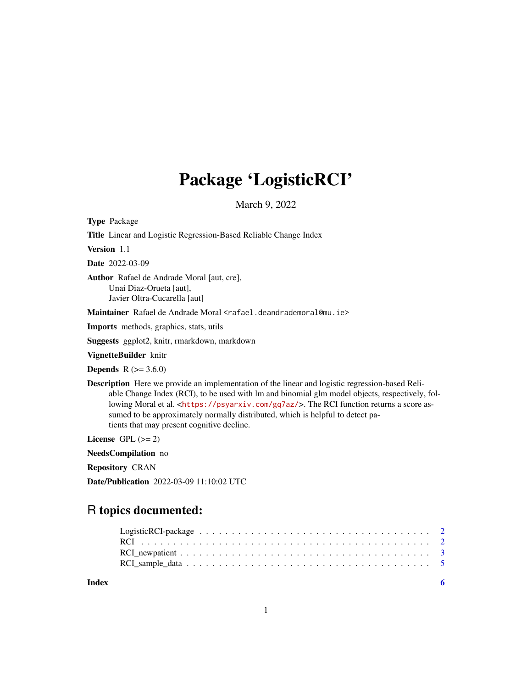# Package 'LogisticRCI'

March 9, 2022

Type Package

Title Linear and Logistic Regression-Based Reliable Change Index

Version 1.1

Date 2022-03-09

Author Rafael de Andrade Moral [aut, cre], Unai Diaz-Orueta [aut], Javier Oltra-Cucarella [aut]

Maintainer Rafael de Andrade Moral <rafael.deandrademoral@mu.ie>

Imports methods, graphics, stats, utils

Suggests ggplot2, knitr, rmarkdown, markdown

VignetteBuilder knitr

**Depends** R  $(>= 3.6.0)$ 

Description Here we provide an implementation of the linear and logistic regression-based Reliable Change Index (RCI), to be used with lm and binomial glm model objects, respectively, following Moral et al. <<https://psyarxiv.com/gq7az/>>. The RCI function returns a score assumed to be approximately normally distributed, which is helpful to detect patients that may present cognitive decline.

License GPL  $(>= 2)$ 

NeedsCompilation no

Repository CRAN

Date/Publication 2022-03-09 11:10:02 UTC

# R topics documented:

**Index** [6](#page-5-0) **6**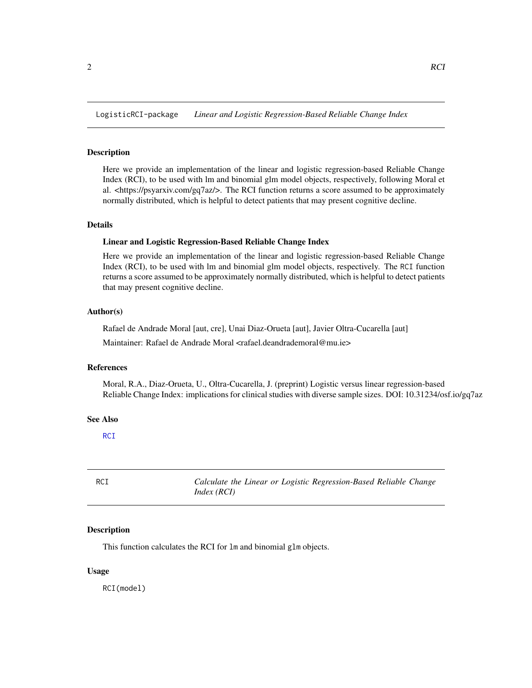<span id="page-1-0"></span>LogisticRCI-package *Linear and Logistic Regression-Based Reliable Change Index*

# Description

Here we provide an implementation of the linear and logistic regression-based Reliable Change Index (RCI), to be used with lm and binomial glm model objects, respectively, following Moral et al. <https://psyarxiv.com/gq7az/>. The RCI function returns a score assumed to be approximately normally distributed, which is helpful to detect patients that may present cognitive decline.

# Details

#### Linear and Logistic Regression-Based Reliable Change Index

Here we provide an implementation of the linear and logistic regression-based Reliable Change Index (RCI), to be used with lm and binomial glm model objects, respectively. The RCI function returns a score assumed to be approximately normally distributed, which is helpful to detect patients that may present cognitive decline.

#### Author(s)

Rafael de Andrade Moral [aut, cre], Unai Diaz-Orueta [aut], Javier Oltra-Cucarella [aut]

Maintainer: Rafael de Andrade Moral <rafael.deandrademoral@mu.ie>

# References

Moral, R.A., Diaz-Orueta, U., Oltra-Cucarella, J. (preprint) Logistic versus linear regression-based Reliable Change Index: implications for clinical studies with diverse sample sizes. DOI: 10.31234/osf.io/gq7az

#### See Also

**[RCI](#page-1-1)** 

<span id="page-1-1"></span>RCI *Calculate the Linear or Logistic Regression-Based Reliable Change Index (RCI)*

#### Description

This function calculates the RCI for lm and binomial glm objects.

#### Usage

RCI(model)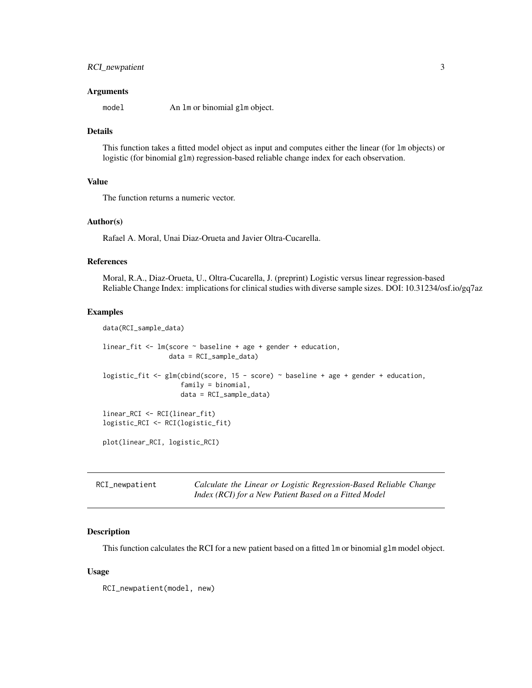#### <span id="page-2-0"></span>**Arguments**

model An lm or binomial glm object.

#### Details

This function takes a fitted model object as input and computes either the linear (for lm objects) or logistic (for binomial glm) regression-based reliable change index for each observation.

# Value

The function returns a numeric vector.

#### Author(s)

Rafael A. Moral, Unai Diaz-Orueta and Javier Oltra-Cucarella.

#### References

Moral, R.A., Diaz-Orueta, U., Oltra-Cucarella, J. (preprint) Logistic versus linear regression-based Reliable Change Index: implications for clinical studies with diverse sample sizes. DOI: 10.31234/osf.io/gq7az

#### Examples

```
data(RCI_sample_data)
linear_fit <- lm(score ~ baseline + age + gender + education,
                 data = RCI_sample_data)
logistic_fit <- glm(cbind(score, 15 - score) ~ baseline + age + gender + education,
                    family = binomial,
                    data = RCI_sample_data)
linear_RCI <- RCI(linear_fit)
logistic_RCI <- RCI(logistic_fit)
plot(linear_RCI, logistic_RCI)
```

| RCI_newpatient | Calculate the Linear or Logistic Regression-Based Reliable Change |
|----------------|-------------------------------------------------------------------|
|                | Index (RCI) for a New Patient Based on a Fitted Model             |

#### Description

This function calculates the RCI for a new patient based on a fitted 1m or binomial g1m model object.

#### Usage

RCI\_newpatient(model, new)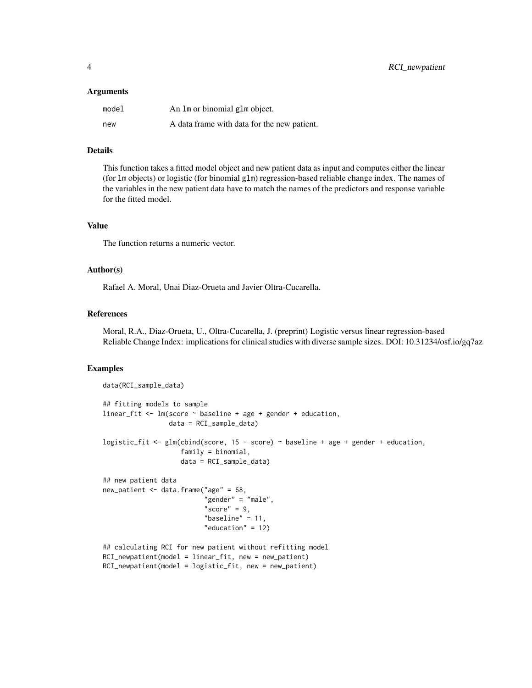#### Arguments

| model | An 1m or binomial g1m object.               |
|-------|---------------------------------------------|
| new   | A data frame with data for the new patient. |

# **Details**

This function takes a fitted model object and new patient data as input and computes either the linear (for lm objects) or logistic (for binomial glm) regression-based reliable change index. The names of the variables in the new patient data have to match the names of the predictors and response variable for the fitted model.

#### Value

The function returns a numeric vector.

#### Author(s)

Rafael A. Moral, Unai Diaz-Orueta and Javier Oltra-Cucarella.

#### References

Moral, R.A., Diaz-Orueta, U., Oltra-Cucarella, J. (preprint) Logistic versus linear regression-based Reliable Change Index: implications for clinical studies with diverse sample sizes. DOI: 10.31234/osf.io/gq7az

#### Examples

```
data(RCI_sample_data)
## fitting models to sample
linear_fit <- lm(score ~ baseline + age + gender + education,
                 data = RCI_sample_data)
logistic_fit <- glm(cbind(score, 15 - score) ~ baseline + age + gender + education,
                    family = binomial,
                    data = RCI_sample_data)
## new patient data
new_patient <- data.frame("age" = 68,
                          "gender" = "male",
                          "score" = 9,
                          "baseline" = 11,
                          "education" = 12)
## calculating RCI for new patient without refitting model
RCI_newpatient(model = linear_fit, new = new_patient)
RCI_newpatient(model = logistic_fit, new = new_patient)
```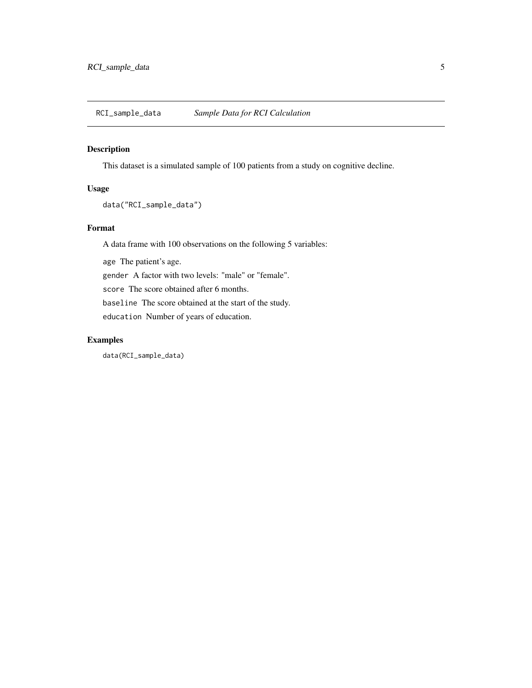<span id="page-4-0"></span>RCI\_sample\_data *Sample Data for RCI Calculation*

# Description

This dataset is a simulated sample of 100 patients from a study on cognitive decline.

# Usage

```
data("RCI_sample_data")
```
# Format

A data frame with 100 observations on the following 5 variables:

age The patient's age.

gender A factor with two levels: "male" or "female".

score The score obtained after 6 months.

baseline The score obtained at the start of the study.

education Number of years of education.

# Examples

data(RCI\_sample\_data)